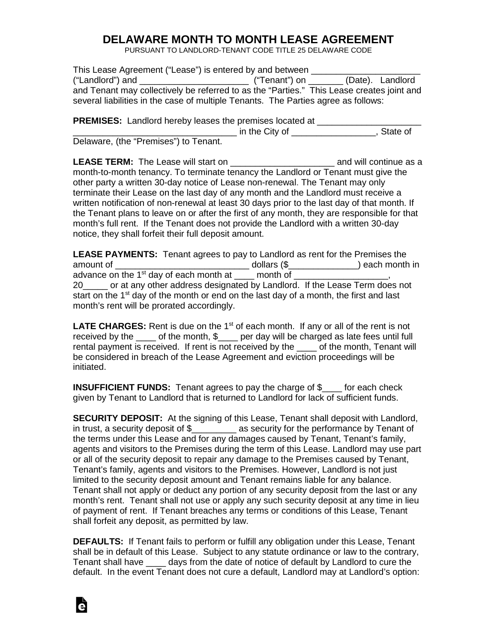## **DELAWARE MONTH TO MONTH LEASE AGREEMENT**

PURSUANT TO LANDLORD-TENANT CODE TITLE 25 DELAWARE CODE

| This Lease Agreement ("Lease") is entered by and between                                  |                                   |  |
|-------------------------------------------------------------------------------------------|-----------------------------------|--|
| ("Landlord") and                                                                          | (Date). Landlord<br>("Tenant") on |  |
| and Tenant may collectively be referred to as the "Parties." This Lease creates joint and |                                   |  |
| several liabilities in the case of multiple Tenants. The Parties agree as follows:        |                                   |  |

**PREMISES:** Landlord hereby leases the premises located at The City of The City of The City of The City of The City of The City of The City of The City of The City of The City of The City of The City of The City of The City of The City of The City of The City of The City of The Ci

Delaware, (the "Premises") to Tenant.

LEASE TERM: The Lease will start on **\_\_\_\_\_\_\_\_\_\_\_\_\_\_\_\_\_\_\_\_\_\_\_** and will continue as a month-to-month tenancy. To terminate tenancy the Landlord or Tenant must give the other party a written 30-day notice of Lease non-renewal. The Tenant may only terminate their Lease on the last day of any month and the Landlord must receive a written notification of non-renewal at least 30 days prior to the last day of that month. If the Tenant plans to leave on or after the first of any month, they are responsible for that month's full rent. If the Tenant does not provide the Landlord with a written 30-day notice, they shall forfeit their full deposit amount.

**LEASE PAYMENTS:** Tenant agrees to pay to Landlord as rent for the Premises the amount of \_\_\_\_\_\_\_\_\_\_\_\_\_\_\_\_\_\_\_\_\_\_\_\_\_\_\_ dollars (\$\_\_\_\_\_\_\_\_\_\_\_\_\_\_) each month in advance on the 1<sup>st</sup> day of each month at  $\_\_\_\_$  month of  $\_\_\_\_\_\_\_$ , 20\_\_\_\_\_ or at any other address designated by Landlord. If the Lease Term does not start on the 1<sup>st</sup> day of the month or end on the last day of a month, the first and last month's rent will be prorated accordingly.

LATE CHARGES: Rent is due on the 1<sup>st</sup> of each month. If any or all of the rent is not received by the  $\_\_\_$  of the month,  $\frac{1}{2}$  per day will be charged as late fees until full rental payment is received. If rent is not received by the \_\_\_\_ of the month, Tenant will be considered in breach of the Lease Agreement and eviction proceedings will be initiated.

**INSUFFICIENT FUNDS:** Tenant agrees to pay the charge of \$\_\_\_\_ for each check given by Tenant to Landlord that is returned to Landlord for lack of sufficient funds.

**SECURITY DEPOSIT:** At the signing of this Lease, Tenant shall deposit with Landlord, in trust, a security deposit of \$ as security for the performance by Tenant of the terms under this Lease and for any damages caused by Tenant, Tenant's family, agents and visitors to the Premises during the term of this Lease. Landlord may use part or all of the security deposit to repair any damage to the Premises caused by Tenant, Tenant's family, agents and visitors to the Premises. However, Landlord is not just limited to the security deposit amount and Tenant remains liable for any balance. Tenant shall not apply or deduct any portion of any security deposit from the last or any month's rent. Tenant shall not use or apply any such security deposit at any time in lieu of payment of rent. If Tenant breaches any terms or conditions of this Lease, Tenant shall forfeit any deposit, as permitted by law.

**DEFAULTS:** If Tenant fails to perform or fulfill any obligation under this Lease, Tenant shall be in default of this Lease. Subject to any statute ordinance or law to the contrary, Tenant shall have \_\_\_\_ days from the date of notice of default by Landlord to cure the default. In the event Tenant does not cure a default, Landlord may at Landlord's option: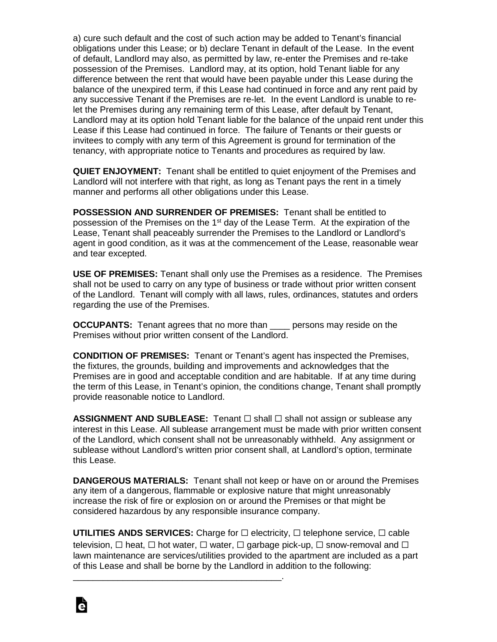a) cure such default and the cost of such action may be added to Tenant's financial obligations under this Lease; or b) declare Tenant in default of the Lease. In the event of default, Landlord may also, as permitted by law, re-enter the Premises and re-take possession of the Premises. Landlord may, at its option, hold Tenant liable for any difference between the rent that would have been payable under this Lease during the balance of the unexpired term, if this Lease had continued in force and any rent paid by any successive Tenant if the Premises are re-let. In the event Landlord is unable to relet the Premises during any remaining term of this Lease, after default by Tenant, Landlord may at its option hold Tenant liable for the balance of the unpaid rent under this Lease if this Lease had continued in force. The failure of Tenants or their guests or invitees to comply with any term of this Agreement is ground for termination of the tenancy, with appropriate notice to Tenants and procedures as required by law.

**QUIET ENJOYMENT:** Tenant shall be entitled to quiet enjoyment of the Premises and Landlord will not interfere with that right, as long as Tenant pays the rent in a timely manner and performs all other obligations under this Lease.

**POSSESSION AND SURRENDER OF PREMISES:** Tenant shall be entitled to possession of the Premises on the 1<sup>st</sup> day of the Lease Term. At the expiration of the Lease, Tenant shall peaceably surrender the Premises to the Landlord or Landlord's agent in good condition, as it was at the commencement of the Lease, reasonable wear and tear excepted.

**USE OF PREMISES:** Tenant shall only use the Premises as a residence. The Premises shall not be used to carry on any type of business or trade without prior written consent of the Landlord. Tenant will comply with all laws, rules, ordinances, statutes and orders regarding the use of the Premises.

**OCCUPANTS:** Tenant agrees that no more than \_\_\_\_ persons may reside on the Premises without prior written consent of the Landlord.

**CONDITION OF PREMISES:** Tenant or Tenant's agent has inspected the Premises, the fixtures, the grounds, building and improvements and acknowledges that the Premises are in good and acceptable condition and are habitable. If at any time during the term of this Lease, in Tenant's opinion, the conditions change, Tenant shall promptly provide reasonable notice to Landlord.

**ASSIGNMENT AND SUBLEASE:** Tenant □ shall □ shall not assign or sublease any interest in this Lease. All sublease arrangement must be made with prior written consent of the Landlord, which consent shall not be unreasonably withheld. Any assignment or sublease without Landlord's written prior consent shall, at Landlord's option, terminate this Lease.

**DANGEROUS MATERIALS:** Tenant shall not keep or have on or around the Premises any item of a dangerous, flammable or explosive nature that might unreasonably increase the risk of fire or explosion on or around the Premises or that might be considered hazardous by any responsible insurance company.

**UTILITIES ANDS SERVICES:** Charge for ☐ electricity, ☐ telephone service, ☐ cable television,  $\Box$  heat,  $\Box$  hot water,  $\Box$  water,  $\Box$  garbage pick-up,  $\Box$  snow-removal and  $\Box$ lawn maintenance are services/utilities provided to the apartment are included as a part of this Lease and shall be borne by the Landlord in addition to the following:

\_\_\_\_\_\_\_\_\_\_\_\_\_\_\_\_\_\_\_\_\_\_\_\_\_\_\_\_\_\_\_\_\_\_\_\_\_\_\_\_\_\_.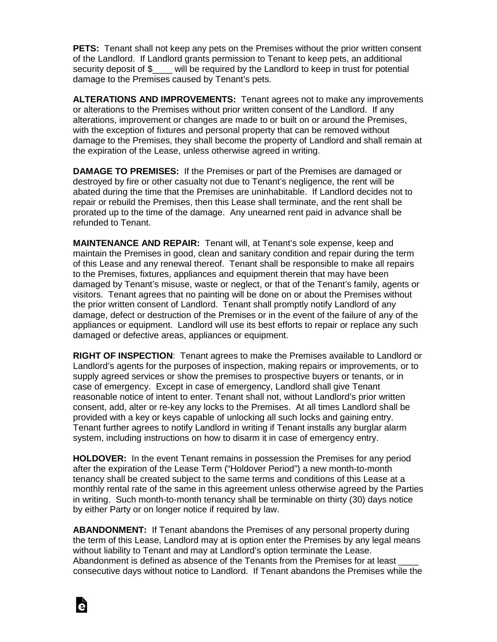**PETS:** Tenant shall not keep any pets on the Premises without the prior written consent of the Landlord. If Landlord grants permission to Tenant to keep pets, an additional security deposit of \$ will be required by the Landlord to keep in trust for potential damage to the Premises caused by Tenant's pets.

**ALTERATIONS AND IMPROVEMENTS:** Tenant agrees not to make any improvements or alterations to the Premises without prior written consent of the Landlord. If any alterations, improvement or changes are made to or built on or around the Premises, with the exception of fixtures and personal property that can be removed without damage to the Premises, they shall become the property of Landlord and shall remain at the expiration of the Lease, unless otherwise agreed in writing.

**DAMAGE TO PREMISES:** If the Premises or part of the Premises are damaged or destroyed by fire or other casualty not due to Tenant's negligence, the rent will be abated during the time that the Premises are uninhabitable. If Landlord decides not to repair or rebuild the Premises, then this Lease shall terminate, and the rent shall be prorated up to the time of the damage. Any unearned rent paid in advance shall be refunded to Tenant.

**MAINTENANCE AND REPAIR:** Tenant will, at Tenant's sole expense, keep and maintain the Premises in good, clean and sanitary condition and repair during the term of this Lease and any renewal thereof. Tenant shall be responsible to make all repairs to the Premises, fixtures, appliances and equipment therein that may have been damaged by Tenant's misuse, waste or neglect, or that of the Tenant's family, agents or visitors. Tenant agrees that no painting will be done on or about the Premises without the prior written consent of Landlord. Tenant shall promptly notify Landlord of any damage, defect or destruction of the Premises or in the event of the failure of any of the appliances or equipment. Landlord will use its best efforts to repair or replace any such damaged or defective areas, appliances or equipment.

**RIGHT OF INSPECTION**: Tenant agrees to make the Premises available to Landlord or Landlord's agents for the purposes of inspection, making repairs or improvements, or to supply agreed services or show the premises to prospective buyers or tenants, or in case of emergency. Except in case of emergency, Landlord shall give Tenant reasonable notice of intent to enter. Tenant shall not, without Landlord's prior written consent, add, alter or re-key any locks to the Premises. At all times Landlord shall be provided with a key or keys capable of unlocking all such locks and gaining entry. Tenant further agrees to notify Landlord in writing if Tenant installs any burglar alarm system, including instructions on how to disarm it in case of emergency entry.

**HOLDOVER:** In the event Tenant remains in possession the Premises for any period after the expiration of the Lease Term ("Holdover Period") a new month-to-month tenancy shall be created subject to the same terms and conditions of this Lease at a monthly rental rate of the same in this agreement unless otherwise agreed by the Parties in writing. Such month-to-month tenancy shall be terminable on thirty (30) days notice by either Party or on longer notice if required by law.

**ABANDONMENT:** If Tenant abandons the Premises of any personal property during the term of this Lease, Landlord may at is option enter the Premises by any legal means without liability to Tenant and may at Landlord's option terminate the Lease. Abandonment is defined as absence of the Tenants from the Premises for at least consecutive days without notice to Landlord. If Tenant abandons the Premises while the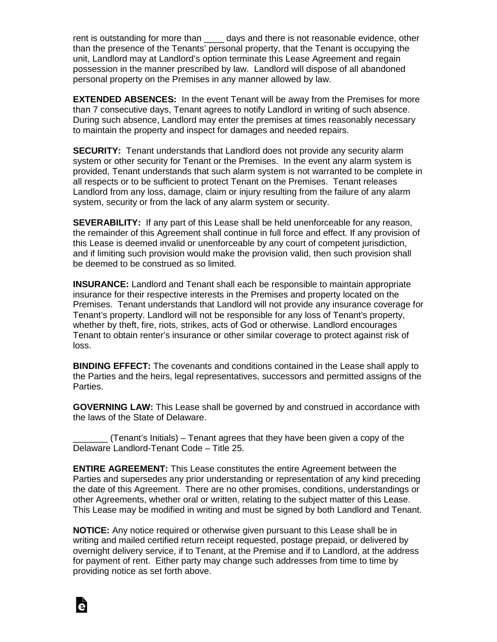rent is outstanding for more than \_\_\_\_ days and there is not reasonable evidence, other than the presence of the Tenants' personal property, that the Tenant is occupying the unit, Landlord may at Landlord's option terminate this Lease Agreement and regain possession in the manner prescribed by law. Landlord will dispose of all abandoned personal property on the Premises in any manner allowed by law.

**EXTENDED ABSENCES:** In the event Tenant will be away from the Premises for more than 7 consecutive days, Tenant agrees to notify Landlord in writing of such absence. During such absence, Landlord may enter the premises at times reasonably necessary to maintain the property and inspect for damages and needed repairs.

**SECURITY:** Tenant understands that Landlord does not provide any security alarm system or other security for Tenant or the Premises. In the event any alarm system is provided, Tenant understands that such alarm system is not warranted to be complete in all respects or to be sufficient to protect Tenant on the Premises. Tenant releases Landlord from any loss, damage, claim or injury resulting from the failure of any alarm system, security or from the lack of any alarm system or security.

**SEVERABILITY:** If any part of this Lease shall be held unenforceable for any reason, the remainder of this Agreement shall continue in full force and effect. If any provision of this Lease is deemed invalid or unenforceable by any court of competent jurisdiction, and if limiting such provision would make the provision valid, then such provision shall be deemed to be construed as so limited.

**INSURANCE:** Landlord and Tenant shall each be responsible to maintain appropriate insurance for their respective interests in the Premises and property located on the Premises. Tenant understands that Landlord will not provide any insurance coverage for Tenant's property. Landlord will not be responsible for any loss of Tenant's property, whether by theft, fire, riots, strikes, acts of God or otherwise. Landlord encourages Tenant to obtain renter's insurance or other similar coverage to protect against risk of loss.

**BINDING EFFECT:** The covenants and conditions contained in the Lease shall apply to the Parties and the heirs, legal representatives, successors and permitted assigns of the Parties.

**GOVERNING LAW:** This Lease shall be governed by and construed in accordance with the laws of the State of Delaware.

\_\_\_\_\_\_\_ (Tenant's Initials) – Tenant agrees that they have been given a copy of the Delaware Landlord-Tenant Code – Title 25.

**ENTIRE AGREEMENT:** This Lease constitutes the entire Agreement between the Parties and supersedes any prior understanding or representation of any kind preceding the date of this Agreement. There are no other promises, conditions, understandings or other Agreements, whether oral or written, relating to the subject matter of this Lease. This Lease may be modified in writing and must be signed by both Landlord and Tenant.

**NOTICE:** Any notice required or otherwise given pursuant to this Lease shall be in writing and mailed certified return receipt requested, postage prepaid, or delivered by overnight delivery service, if to Tenant, at the Premise and if to Landlord, at the address for payment of rent. Either party may change such addresses from time to time by providing notice as set forth above.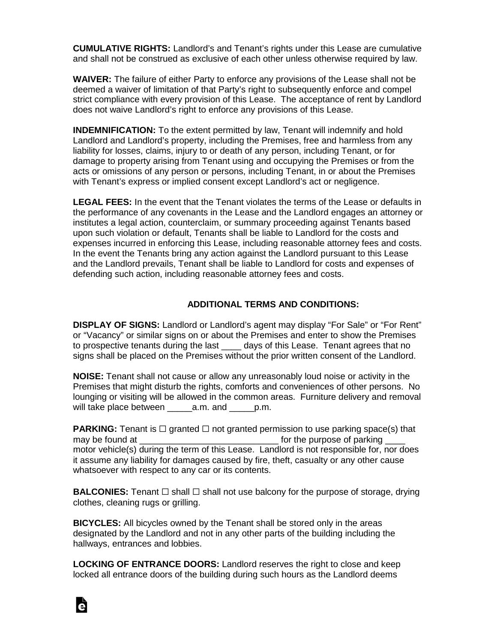**CUMULATIVE RIGHTS:** Landlord's and Tenant's rights under this Lease are cumulative and shall not be construed as exclusive of each other unless otherwise required by law.

**WAIVER:** The failure of either Party to enforce any provisions of the Lease shall not be deemed a waiver of limitation of that Party's right to subsequently enforce and compel strict compliance with every provision of this Lease. The acceptance of rent by Landlord does not waive Landlord's right to enforce any provisions of this Lease.

**INDEMNIFICATION:** To the extent permitted by law, Tenant will indemnify and hold Landlord and Landlord's property, including the Premises, free and harmless from any liability for losses, claims, injury to or death of any person, including Tenant, or for damage to property arising from Tenant using and occupying the Premises or from the acts or omissions of any person or persons, including Tenant, in or about the Premises with Tenant's express or implied consent except Landlord's act or negligence.

**LEGAL FEES:** In the event that the Tenant violates the terms of the Lease or defaults in the performance of any covenants in the Lease and the Landlord engages an attorney or institutes a legal action, counterclaim, or summary proceeding against Tenants based upon such violation or default, Tenants shall be liable to Landlord for the costs and expenses incurred in enforcing this Lease, including reasonable attorney fees and costs. In the event the Tenants bring any action against the Landlord pursuant to this Lease and the Landlord prevails, Tenant shall be liable to Landlord for costs and expenses of defending such action, including reasonable attorney fees and costs.

## **ADDITIONAL TERMS AND CONDITIONS:**

**DISPLAY OF SIGNS:** Landlord or Landlord's agent may display "For Sale" or "For Rent" or "Vacancy" or similar signs on or about the Premises and enter to show the Premises to prospective tenants during the last \_\_\_\_\_ days of this Lease. Tenant agrees that no signs shall be placed on the Premises without the prior written consent of the Landlord.

**NOISE:** Tenant shall not cause or allow any unreasonably loud noise or activity in the Premises that might disturb the rights, comforts and conveniences of other persons. No lounging or visiting will be allowed in the common areas. Furniture delivery and removal will take place between \_\_\_\_\_a.m. and \_\_\_\_\_p.m.

**PARKING:** Tenant is  $\Box$  granted  $\Box$  not granted permission to use parking space(s) that may be found at  $\qquad \qquad$  for the purpose of parking  $\qquad$ motor vehicle(s) during the term of this Lease. Landlord is not responsible for, nor does it assume any liability for damages caused by fire, theft, casualty or any other cause whatsoever with respect to any car or its contents.

**BALCONIES:** Tenant □ shall □ shall not use balcony for the purpose of storage, drying clothes, cleaning rugs or grilling.

**BICYCLES:** All bicycles owned by the Tenant shall be stored only in the areas designated by the Landlord and not in any other parts of the building including the hallways, entrances and lobbies.

**LOCKING OF ENTRANCE DOORS:** Landlord reserves the right to close and keep locked all entrance doors of the building during such hours as the Landlord deems

à